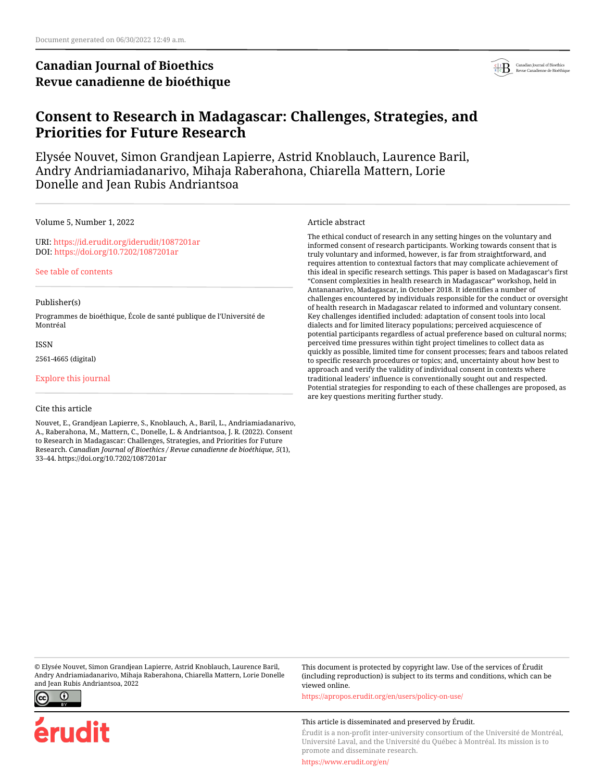# **Canadian Journal of Bioethics Revue canadienne de bioéthique**



# **Consent to Research in Madagascar: Challenges, Strategies, and Priorities for Future Research**

Elysée Nouvet, Simon Grandjean Lapierre, Astrid Knoblauch, Laurence Baril, Andry Andriamiadanarivo, Mihaja Raberahona, Chiarella Mattern, Lorie Donelle and Jean Rubis Andriantsoa

Volume 5, Number 1, 2022

URI:<https://id.erudit.org/iderudit/1087201ar> DOI:<https://doi.org/10.7202/1087201ar>

[See table of contents](https://www.erudit.org/en/journals/bioethics/2022-v5-n1-bioethics06848/)

#### Publisher(s)

Programmes de bioéthique, École de santé publique de l'Université de Montréal

**ISSN** 

2561-4665 (digital)

[Explore this journal](https://www.erudit.org/en/journals/bioethics/)

#### Cite this article

Nouvet, E., Grandjean Lapierre, S., Knoblauch, A., Baril, L., Andriamiadanarivo, A., Raberahona, M., Mattern, C., Donelle, L. & Andriantsoa, J. R. (2022). Consent to Research in Madagascar: Challenges, Strategies, and Priorities for Future Research. *Canadian Journal of Bioethics / Revue canadienne de bioéthique*, *5*(1), 33–44. https://doi.org/10.7202/1087201ar

Article abstract

The ethical conduct of research in any setting hinges on the voluntary and informed consent of research participants. Working towards consent that is truly voluntary and informed, however, is far from straightforward, and requires attention to contextual factors that may complicate achievement of this ideal in specific research settings. This paper is based on Madagascar's first "Consent complexities in health research in Madagascar" workshop, held in Antananarivo, Madagascar, in October 2018. It identifies a number of challenges encountered by individuals responsible for the conduct or oversight of health research in Madagascar related to informed and voluntary consent. Key challenges identified included: adaptation of consent tools into local dialects and for limited literacy populations; perceived acquiescence of potential participants regardless of actual preference based on cultural norms; perceived time pressures within tight project timelines to collect data as quickly as possible, limited time for consent processes; fears and taboos related to specific research procedures or topics; and, uncertainty about how best to approach and verify the validity of individual consent in contexts where traditional leaders' influence is conventionally sought out and respected. Potential strategies for responding to each of these challenges are proposed, as are key questions meriting further study.

© Elysée Nouvet, Simon Grandjean Lapierre, Astrid Knoblauch, Laurence Baril, Andry Andriamiadanarivo, Mihaja Raberahona, Chiarella Mattern, Lorie Donelle and Jean Rubis Andriantsoa, 2022



erudit

This document is protected by copyright law. Use of the services of Érudit (including reproduction) is subject to its terms and conditions, which can be viewed online.

<https://apropos.erudit.org/en/users/policy-on-use/>

#### This article is disseminated and preserved by Érudit.

Érudit is a non-profit inter-university consortium of the Université de Montréal, Université Laval, and the Université du Québec à Montréal. Its mission is to promote and disseminate research.

<https://www.erudit.org/en/>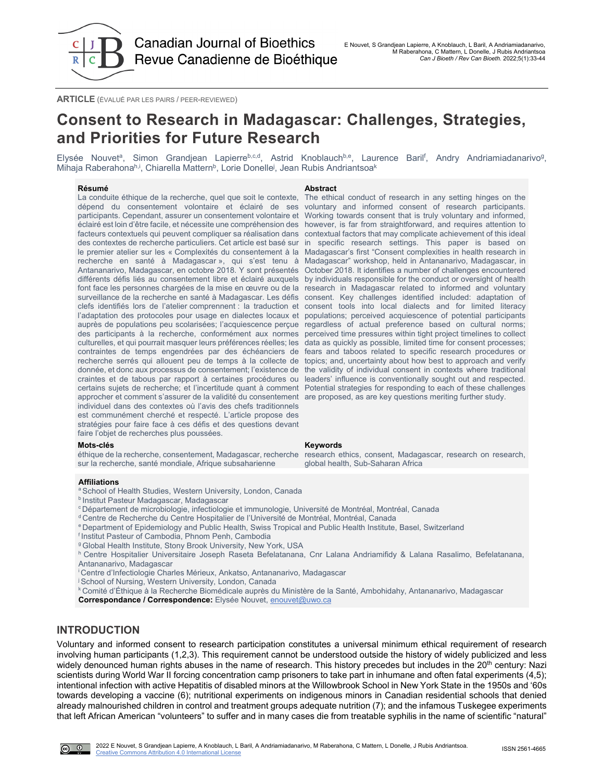

**ARTICLE** (ÉVALUÉ PAR LES PAIRS / PEER-REVIEWED)

# **Consent to Research in Madagascar: Challenges, Strategies, and Priorities for Future Research**

Elysée Nouvetª, Simon Grandjean Lapierre<sup>b,c,d</sup>, Astrid Knoblauch<sup>b,e</sup>, Laurence Baril<sup>f</sup>, Andry Andriamiadanarivo<sup>g</sup>, Mihaja Raberahona<sup>h,i</sup>, Chiarella Mattern<sup>b</sup>, Lorie Donelle<sup>j</sup>, Jean Rubis Andriantsoa<sup>k</sup>

#### **Résumé Abstract**

La conduite éthique de la recherche, quel que soit le contexte, dépend du consentement volontaire et éclairé de ses voluntary and informed consent of research participants. participants. Cependant, assurer un consentement volontaire et Working towards consent that is truly voluntary and informed, éclairé est loin d'être facile, et nécessite une compréhension des however, is far from straightforward, and requires attention to facteurs contextuels qui peuvent compliquer sa réalisation dans contextual factors that may complicate achievement of this ideal des contextes de recherche particuliers. Cet article est basé sur in specific research settings. This paper is based on le premier atelier sur les « Complexités du consentement à la Madagascar's first "Consent complexities in health research in recherche en santé à Madagascar », qui s'est tenu à Madagascar" workshop, held in Antananarivo, Madagascar, in Antananarivo, Madagascar, en octobre 2018. Y sont présentés October 2018. It identifies a number of challenges encountered différents défis liés au consentement libre et éclairé auxquels by individuals responsible for the conduct or oversight of health font face les personnes chargées de la mise en œuvre ou de la research in Madagascar related to informed and voluntary surveillance de la recherche en santé à Madagascar. Les défis consent. Key challenges identified included: adaptation of clefs identifiés lors de l'atelier comprennent : la traduction et consent tools into local dialects and for limited literacy l'adaptation des protocoles pour usage en dialectes locaux et populations; perceived acquiescence of potential participants auprès de populations peu scolarisées; l'acquiescence perçue regardless of actual preference based on cultural norms; des participants à la recherche, conformément aux normes perceived time pressures within tight project timelines to collect culturelles, et qui pourrait masquer leurs préférences réelles; les data as quickly as possible, limited time for consent processes; contraintes de temps engendrées par des échéanciers de fears and taboos related to specific research procedures or recherche serrés qui allouent peu de temps à la collecte de topics; and, uncertainty about how best to approach and verify donnée, et donc aux processus de consentement; l'existence de craintes et de tabous par rapport à certaines procédures ou certains sujets de recherche; et l'incertitude quant à comment Potential strategies for responding to each of these challenges approcher et comment s'assurer de la validité du consentement are proposed, as are key questions meriting further study. individuel dans des contextes où l'avis des chefs traditionnels est communément cherché et respecté. L'article propose des stratégies pour faire face à ces défis et des questions devant faire l'objet de recherches plus poussées.

sur la recherche, santé mondiale, Afrique subsaharienne

#### **Affiliations**

- <sup>a</sup> School of Health Studies, Western University, London, Canada
- **b Institut Pasteur Madagascar, Madagascar**
- c Département de microbiologie, infectiologie et immunologie, Université de Montréal, Montréal, Canada
- d Centre de Recherche du Centre Hospitalier de l'Université de Montréal, Montréal, Canada
- e Department of Epidemiology and Public Health, Swiss Tropical and Public Health Institute, Basel, Switzerland
- f Institut Pasteur of Cambodia, Phnom Penh, Cambodia
- g Global Health Institute, Stony Brook University, New York, USA

h Centre Hospitalier Universitaire Joseph Raseta Befelatanana, Cnr Lalana Andriamifidy & Lalana Rasalimo, Befelatanana, Antananarivo, Madagascar

- i Centre d'Infectiologie Charles Mérieux, Ankatso, Antananarivo, Madagascar
- j School of Nursing, Western University, London, Canada
- k Comité d'Éthique à la Recherche Biomédicale auprès du Ministère de la Santé, Ambohidahy, Antananarivo, Madagascar

**Correspondance / Correspondence:** Elysée Nouvet, [enouvet@uwo.ca](mailto:enouvet@uwo.ca)

## **INTRODUCTION**

Voluntary and informed consent to research participation constitutes a universal minimum ethical requirement of research involving human participants (1,2,3). This requirement cannot be understood outside the history of widely publicized and less widely denounced human rights abuses in the name of research. This history precedes but includes in the 20<sup>th</sup> century: Nazi scientists during World War II forcing concentration camp prisoners to take part in inhumane and often fatal experiments (4,5); intentional infection with active Hepatitis of disabled minors at the Willowbrook School in New York State in the 1950s and '60s towards developing a vaccine (6); nutritional experiments on indigenous minors in Canadian residential schools that denied already malnourished children in control and treatment groups adequate nutrition (7); and the infamous Tuskegee experiments that left African American "volunteers" to suffer and in many cases die from treatable syphilis in the name of scientific "natural"

The ethical conduct of research in any setting hinges on the the validity of individual consent in contexts where traditional leaders' influence is conventionally sought out and respected.

#### **Mots-clés Keywords**

éthique de la recherche, consentement, Madagascar, recherche \_research\_ethics,\_consent,\_Madagascar,\_research\_on\_research, global health, Sub-Saharan Africa

 $\Omega$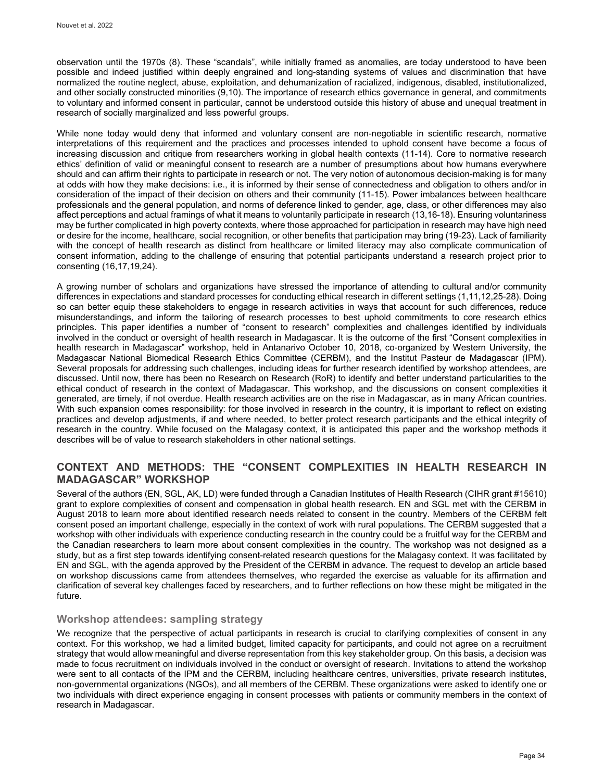observation until the 1970s (8). These "scandals", while initially framed as anomalies, are today understood to have been possible and indeed justified within deeply engrained and long-standing systems of values and discrimination that have normalized the routine neglect, abuse, exploitation, and dehumanization of racialized, indigenous, disabled, institutionalized, and other socially constructed minorities (9,10). The importance of research ethics governance in general, and commitments to voluntary and informed consent in particular, cannot be understood outside this history of abuse and unequal treatment in research of socially marginalized and less powerful groups.

While none today would deny that informed and voluntary consent are non-negotiable in scientific research, normative interpretations of this requirement and the practices and processes intended to uphold consent have become a focus of increasing discussion and critique from researchers working in global health contexts (11-14). Core to normative research ethics' definition of valid or meaningful consent to research are a number of presumptions about how humans everywhere should and can affirm their rights to participate in research or not. The very notion of autonomous decision-making is for many at odds with how they make decisions: i.e., it is informed by their sense of connectedness and obligation to others and/or in consideration of the impact of their decision on others and their community (11-15). Power imbalances between healthcare professionals and the general population, and norms of deference linked to gender, age, class, or other differences may also affect perceptions and actual framings of what it means to voluntarily participate in research (13,16-18). Ensuring voluntariness may be further complicated in high poverty contexts, where those approached for participation in research may have high need or desire for the income, healthcare, social recognition, or other benefits that participation may bring (19-23). Lack of familiarity with the concept of health research as distinct from healthcare or limited literacy may also complicate communication of consent information, adding to the challenge of ensuring that potential participants understand a research project prior to consenting (16,17,19,24).

A growing number of scholars and organizations have stressed the importance of attending to cultural and/or community differences in expectations and standard processes for conducting ethical research in different settings (1,11,12,25-28). Doing so can better equip these stakeholders to engage in research activities in ways that account for such differences, reduce misunderstandings, and inform the tailoring of research processes to best uphold commitments to core research ethics principles. This paper identifies a number of "consent to research" complexities and challenges identified by individuals involved in the conduct or oversight of health research in Madagascar. It is the outcome of the first "Consent complexities in health research in Madagascar" workshop, held in Antanarivo October 10, 2018, co-organized by Western University, the Madagascar National Biomedical Research Ethics Committee (CERBM), and the Institut Pasteur de Madagascar (IPM). Several proposals for addressing such challenges, including ideas for further research identified by workshop attendees, are discussed. Until now, there has been no Research on Research (RoR) to identify and better understand particularities to the ethical conduct of research in the context of Madagascar. This workshop, and the discussions on consent complexities it generated, are timely, if not overdue. Health research activities are on the rise in Madagascar, as in many African countries. With such expansion comes responsibility: for those involved in research in the country, it is important to reflect on existing practices and develop adjustments, if and where needed, to better protect research participants and the ethical integrity of research in the country. While focused on the Malagasy context, it is anticipated this paper and the workshop methods it describes will be of value to research stakeholders in other national settings.

## **CONTEXT AND METHODS: THE "CONSENT COMPLEXITIES IN HEALTH RESEARCH IN MADAGASCAR" WORKSHOP**

Several of the authors (EN, SGL, AK, LD) were funded through a Canadian Institutes of Health Research (CIHR grant #15610) grant to explore complexities of consent and compensation in global health research. EN and SGL met with the CERBM in August 2018 to learn more about identified research needs related to consent in the country. Members of the CERBM felt consent posed an important challenge, especially in the context of work with rural populations. The CERBM suggested that a workshop with other individuals with experience conducting research in the country could be a fruitful way for the CERBM and the Canadian researchers to learn more about consent complexities in the country. The workshop was not designed as a study, but as a first step towards identifying consent-related research questions for the Malagasy context. It was facilitated by EN and SGL, with the agenda approved by the President of the CERBM in advance. The request to develop an article based on workshop discussions came from attendees themselves, who regarded the exercise as valuable for its affirmation and clarification of several key challenges faced by researchers, and to further reflections on how these might be mitigated in the future.

#### **Workshop attendees: sampling strategy**

We recognize that the perspective of actual participants in research is crucial to clarifying complexities of consent in any context. For this workshop, we had a limited budget, limited capacity for participants, and could not agree on a recruitment strategy that would allow meaningful and diverse representation from this key stakeholder group. On this basis, a decision was made to focus recruitment on individuals involved in the conduct or oversight of research. Invitations to attend the workshop were sent to all contacts of the IPM and the CERBM, including healthcare centres, universities, private research institutes, non-governmental organizations (NGOs), and all members of the CERBM. These organizations were asked to identify one or two individuals with direct experience engaging in consent processes with patients or community members in the context of research in Madagascar.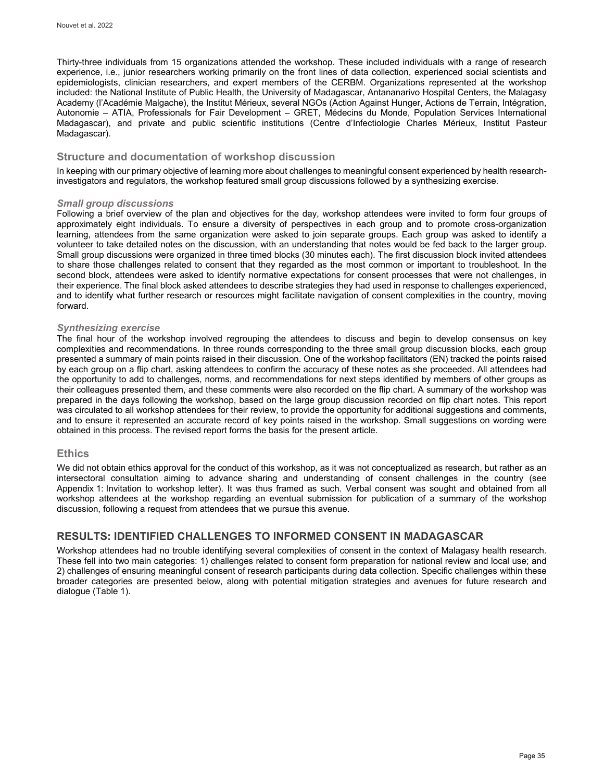Thirty-three individuals from 15 organizations attended the workshop. These included individuals with a range of research experience, i.e., junior researchers working primarily on the front lines of data collection, experienced social scientists and epidemiologists, clinician researchers, and expert members of the CERBM. Organizations represented at the workshop included: the National Institute of Public Health, the University of Madagascar, Antananarivo Hospital Centers, the Malagasy Academy (l'Académie Malgache), the Institut Mérieux, several NGOs (Action Against Hunger, Actions de Terrain, Intégration, Autonomie – ATIA, Professionals for Fair Development – GRET, Médecins du Monde, Population Services International Madagascar), and private and public scientific institutions (Centre d'Infectiologie Charles Mérieux, Institut Pasteur Madagascar).

## **Structure and documentation of workshop discussion**

In keeping with our primary objective of learning more about challenges to meaningful consent experienced by health researchinvestigators and regulators, the workshop featured small group discussions followed by a synthesizing exercise.

#### *Small group discussions*

Following a brief overview of the plan and objectives for the day, workshop attendees were invited to form four groups of approximately eight individuals. To ensure a diversity of perspectives in each group and to promote cross-organization learning, attendees from the same organization were asked to join separate groups. Each group was asked to identify a volunteer to take detailed notes on the discussion, with an understanding that notes would be fed back to the larger group. Small group discussions were organized in three timed blocks (30 minutes each). The first discussion block invited attendees to share those challenges related to consent that they regarded as the most common or important to troubleshoot. In the second block, attendees were asked to identify normative expectations for consent processes that were not challenges, in their experience. The final block asked attendees to describe strategies they had used in response to challenges experienced, and to identify what further research or resources might facilitate navigation of consent complexities in the country, moving forward.

#### *Synthesizing exercise*

The final hour of the workshop involved regrouping the attendees to discuss and begin to develop consensus on key complexities and recommendations. In three rounds corresponding to the three small group discussion blocks, each group presented a summary of main points raised in their discussion. One of the workshop facilitators (EN) tracked the points raised by each group on a flip chart, asking attendees to confirm the accuracy of these notes as she proceeded. All attendees had the opportunity to add to challenges, norms, and recommendations for next steps identified by members of other groups as their colleagues presented them, and these comments were also recorded on the flip chart. A summary of the workshop was prepared in the days following the workshop, based on the large group discussion recorded on flip chart notes. This report was circulated to all workshop attendees for their review, to provide the opportunity for additional suggestions and comments, and to ensure it represented an accurate record of key points raised in the workshop. Small suggestions on wording were obtained in this process. The revised report forms the basis for the present article.

#### **Ethics**

We did not obtain ethics approval for the conduct of this workshop, as it was not conceptualized as research, but rather as an intersectoral consultation aiming to advance sharing and understanding of consent challenges in the country (see Appendix 1: [Invitation to workshop letter\)](#page-12-0). It was thus framed as such. Verbal consent was sought and obtained from all workshop attendees at the workshop regarding an eventual submission for publication of a summary of the workshop discussion, following a request from attendees that we pursue this avenue.

# **RESULTS: IDENTIFIED CHALLENGES TO INFORMED CONSENT IN MADAGASCAR**

Workshop attendees had no trouble identifying several complexities of consent in the context of Malagasy health research. These fell into two main categories: 1) challenges related to consent form preparation for national review and local use; and 2) challenges of ensuring meaningful consent of research participants during data collection. Specific challenges within these broader categories are presented below, along with potential mitigation strategies and avenues for future research and dialogue (Table 1).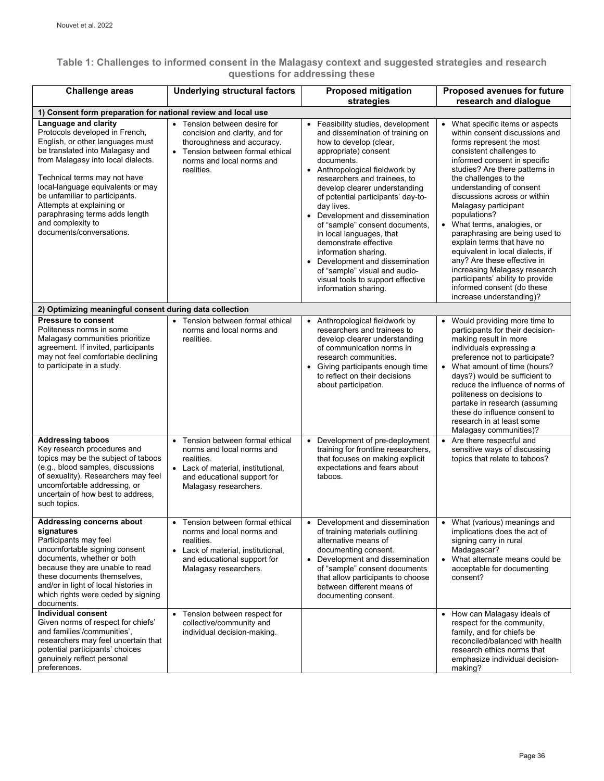# **Table 1: Challenges to informed consent in the Malagasy context and suggested strategies and research questions for addressing these**

| <b>Challenge areas</b>                                                                                                                                                                                                                                                                                                                                                                     | <b>Underlying structural factors</b>                                                                                                                                                 | <b>Proposed mitigation</b><br>strategies                                                                                                                                                                                                                                                                                                                                                                                                                                                                                                                                         | <b>Proposed avenues for future</b><br>research and dialogue                                                                                                                                                                                                                                                                                                                                                                                                                                                                                                                                                           |  |
|--------------------------------------------------------------------------------------------------------------------------------------------------------------------------------------------------------------------------------------------------------------------------------------------------------------------------------------------------------------------------------------------|--------------------------------------------------------------------------------------------------------------------------------------------------------------------------------------|----------------------------------------------------------------------------------------------------------------------------------------------------------------------------------------------------------------------------------------------------------------------------------------------------------------------------------------------------------------------------------------------------------------------------------------------------------------------------------------------------------------------------------------------------------------------------------|-----------------------------------------------------------------------------------------------------------------------------------------------------------------------------------------------------------------------------------------------------------------------------------------------------------------------------------------------------------------------------------------------------------------------------------------------------------------------------------------------------------------------------------------------------------------------------------------------------------------------|--|
| 1) Consent form preparation for national review and local use                                                                                                                                                                                                                                                                                                                              |                                                                                                                                                                                      |                                                                                                                                                                                                                                                                                                                                                                                                                                                                                                                                                                                  |                                                                                                                                                                                                                                                                                                                                                                                                                                                                                                                                                                                                                       |  |
| Language and clarity<br>Protocols developed in French,<br>English, or other languages must<br>be translated into Malagasy and<br>from Malagasy into local dialects.<br>Technical terms may not have<br>local-language equivalents or may<br>be unfamiliar to participants.<br>Attempts at explaining or<br>paraphrasing terms adds length<br>and complexity to<br>documents/conversations. | Tension between desire for<br>concision and clarity, and for<br>thoroughness and accuracy.<br>Tension between formal ethical<br>norms and local norms and<br>realities.              | • Feasibility studies, development<br>and dissemination of training on<br>how to develop (clear,<br>appropriate) consent<br>documents.<br>• Anthropological fieldwork by<br>researchers and trainees, to<br>develop clearer understanding<br>of potential participants' day-to-<br>day lives.<br>• Development and dissemination<br>of "sample" consent documents,<br>in local languages, that<br>demonstrate effective<br>information sharing.<br>• Development and dissemination<br>of "sample" visual and audio-<br>visual tools to support effective<br>information sharing. | What specific items or aspects<br>within consent discussions and<br>forms represent the most<br>consistent challenges to<br>informed consent in specific<br>studies? Are there patterns in<br>the challenges to the<br>understanding of consent<br>discussions across or within<br>Malagasy participant<br>populations?<br>What terms, analogies, or<br>paraphrasing are being used to<br>explain terms that have no<br>equivalent in local dialects, if<br>any? Are these effective in<br>increasing Malagasy research<br>participants' ability to provide<br>informed consent (do these<br>increase understanding)? |  |
| 2) Optimizing meaningful consent during data collection                                                                                                                                                                                                                                                                                                                                    |                                                                                                                                                                                      |                                                                                                                                                                                                                                                                                                                                                                                                                                                                                                                                                                                  |                                                                                                                                                                                                                                                                                                                                                                                                                                                                                                                                                                                                                       |  |
| <b>Pressure to consent</b><br>Politeness norms in some<br>Malagasy communities prioritize<br>agreement. If invited, participants<br>may not feel comfortable declining<br>to participate in a study.                                                                                                                                                                                       | Tension between formal ethical<br>norms and local norms and<br>realities.                                                                                                            | • Anthropological fieldwork by<br>researchers and trainees to<br>develop clearer understanding<br>of communication norms in<br>research communities.<br>• Giving participants enough time<br>to reflect on their decisions<br>about participation.                                                                                                                                                                                                                                                                                                                               | Would providing more time to<br>participants for their decision-<br>making result in more<br>individuals expressing a<br>preference not to participate?<br>• What amount of time (hours?<br>days?) would be sufficient to<br>reduce the influence of norms of<br>politeness on decisions to<br>partake in research (assuming<br>these do influence consent to<br>research in at least some<br>Malagasy communities)?                                                                                                                                                                                                  |  |
| <b>Addressing taboos</b><br>Key research procedures and<br>topics may be the subject of taboos<br>(e.g., blood samples, discussions<br>of sexuality). Researchers may feel<br>uncomfortable addressing, or<br>uncertain of how best to address,<br>such topics.                                                                                                                            | Tension between formal ethical<br>$\bullet$<br>norms and local norms and<br>realities.<br>• Lack of material, institutional,<br>and educational support for<br>Malagasy researchers. | Development of pre-deployment<br>$\bullet$<br>training for frontline researchers,<br>that focuses on making explicit<br>expectations and fears about<br>taboos.                                                                                                                                                                                                                                                                                                                                                                                                                  | • Are there respectful and<br>sensitive ways of discussing<br>topics that relate to taboos?                                                                                                                                                                                                                                                                                                                                                                                                                                                                                                                           |  |
| Addressing concerns about<br>signatures<br>Participants may feel<br>uncomfortable signing consent<br>documents, whether or both<br>because they are unable to read<br>these documents themselves,<br>and/or in light of local histories in<br>which rights were ceded by signing<br>documents.                                                                                             | • Tension between formal ethical<br>norms and local norms and<br>realities.<br>Lack of material, institutional,<br>and educational support for<br>Malagasy researchers.              | • Development and dissemination<br>of training materials outlining<br>alternative means of<br>documenting consent.<br>Development and dissemination<br>$\bullet$<br>of "sample" consent documents<br>that allow participants to choose<br>between different means of<br>documenting consent.                                                                                                                                                                                                                                                                                     | • What (various) meanings and<br>implications does the act of<br>signing carry in rural<br>Madagascar?<br>• What alternate means could be<br>acceptable for documenting<br>consent?                                                                                                                                                                                                                                                                                                                                                                                                                                   |  |
| Individual consent<br>Given norms of respect for chiefs'<br>and families'/communities',<br>researchers may feel uncertain that<br>potential participants' choices<br>genuinely reflect personal<br>preferences.                                                                                                                                                                            | Tension between respect for<br>collective/community and<br>individual decision-making.                                                                                               |                                                                                                                                                                                                                                                                                                                                                                                                                                                                                                                                                                                  | • How can Malagasy ideals of<br>respect for the community,<br>family, and for chiefs be<br>reconciled/balanced with health<br>research ethics norms that<br>emphasize individual decision-<br>making?                                                                                                                                                                                                                                                                                                                                                                                                                 |  |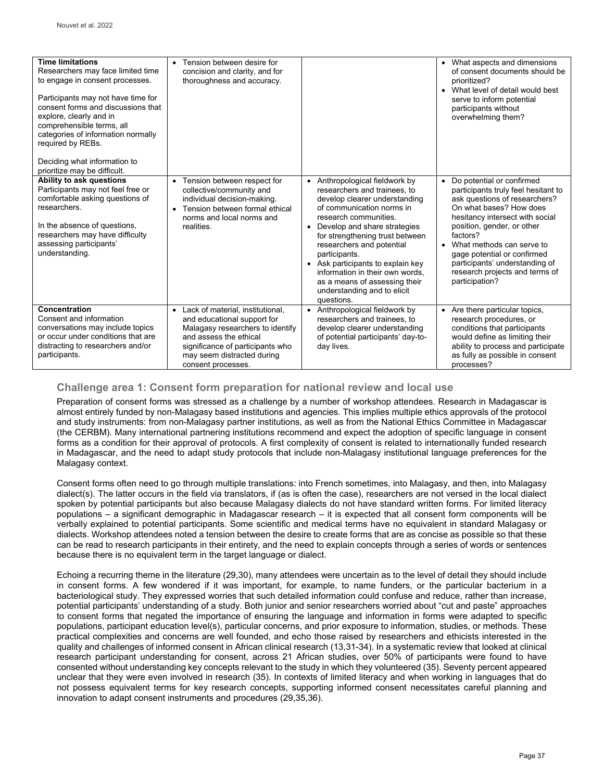| <b>Time limitations</b><br>Researchers may face limited time<br>to engage in consent processes.<br>Participants may not have time for<br>consent forms and discussions that<br>explore, clearly and in<br>comprehensible terms, all<br>categories of information normally<br>required by REBs.<br>Deciding what information to<br>prioritize may be difficult. | Tension between desire for<br>concision and clarity, and for<br>thoroughness and accuracy.                                                                                                                            |                                                                                                                                                                                                                                                                                                                                                                                                                                | • What aspects and dimensions<br>of consent documents should be<br>prioritized?<br>What level of detail would best<br>serve to inform potential<br>participants without<br>overwhelming them?                                                                                                                                                                            |
|----------------------------------------------------------------------------------------------------------------------------------------------------------------------------------------------------------------------------------------------------------------------------------------------------------------------------------------------------------------|-----------------------------------------------------------------------------------------------------------------------------------------------------------------------------------------------------------------------|--------------------------------------------------------------------------------------------------------------------------------------------------------------------------------------------------------------------------------------------------------------------------------------------------------------------------------------------------------------------------------------------------------------------------------|--------------------------------------------------------------------------------------------------------------------------------------------------------------------------------------------------------------------------------------------------------------------------------------------------------------------------------------------------------------------------|
| Ability to ask questions<br>Participants may not feel free or<br>comfortable asking questions of<br>researchers.<br>In the absence of questions,<br>researchers may have difficulty<br>assessing participants'<br>understanding.                                                                                                                               | Tension between respect for<br>collective/community and<br>individual decision-making.<br>Tension between formal ethical<br>norms and local norms and<br>realities.                                                   | • Anthropological fieldwork by<br>researchers and trainees, to<br>develop clearer understanding<br>of communication norms in<br>research communities.<br>• Develop and share strategies<br>for strengthening trust between<br>researchers and potential<br>participants.<br>• Ask participants to explain key<br>information in their own words,<br>as a means of assessing their<br>understanding and to elicit<br>questions. | Do potential or confirmed<br>$\bullet$<br>participants truly feel hesitant to<br>ask questions of researchers?<br>On what bases? How does<br>hesitancy intersect with social<br>position, gender, or other<br>factors?<br>What methods can serve to<br>gage potential or confirmed<br>participants' understanding of<br>research projects and terms of<br>participation? |
| Concentration<br>Consent and information<br>conversations may include topics<br>or occur under conditions that are<br>distracting to researchers and/or<br>participants.                                                                                                                                                                                       | Lack of material, institutional,<br>and educational support for<br>Malagasy researchers to identify<br>and assess the ethical<br>significance of participants who<br>may seem distracted during<br>consent processes. | • Anthropological fieldwork by<br>researchers and trainees, to<br>develop clearer understanding<br>of potential participants' day-to-<br>day lives.                                                                                                                                                                                                                                                                            | • Are there particular topics,<br>research procedures, or<br>conditions that participants<br>would define as limiting their<br>ability to process and participate<br>as fully as possible in consent<br>processes?                                                                                                                                                       |

# **Challenge area 1: Consent form preparation for national review and local use**

Preparation of consent forms was stressed as a challenge by a number of workshop attendees. Research in Madagascar is almost entirely funded by non-Malagasy based institutions and agencies. This implies multiple ethics approvals of the protocol and study instruments: from non-Malagasy partner institutions, as well as from the National Ethics Committee in Madagascar (the CERBM). Many international partnering institutions recommend and expect the adoption of specific language in consent forms as a condition for their approval of protocols. A first complexity of consent is related to internationally funded research in Madagascar, and the need to adapt study protocols that include non-Malagasy institutional language preferences for the Malagasy context.

Consent forms often need to go through multiple translations: into French sometimes, into Malagasy, and then, into Malagasy dialect(s). The latter occurs in the field via translators, if (as is often the case), researchers are not versed in the local dialect spoken by potential participants but also because Malagasy dialects do not have standard written forms. For limited literacy populations – a significant demographic in Madagascar research – it is expected that all consent form components will be verbally explained to potential participants. Some scientific and medical terms have no equivalent in standard Malagasy or dialects. Workshop attendees noted a tension between the desire to create forms that are as concise as possible so that these can be read to research participants in their entirety, and the need to explain concepts through a series of words or sentences because there is no equivalent term in the target language or dialect.

Echoing a recurring theme in the literature (29,30), many attendees were uncertain as to the level of detail they should include in consent forms. A few wondered if it was important, for example, to name funders, or the particular bacterium in a bacteriological study. They expressed worries that such detailed information could confuse and reduce, rather than increase, potential participants' understanding of a study. Both junior and senior researchers worried about "cut and paste" approaches to consent forms that negated the importance of ensuring the language and information in forms were adapted to specific populations, participant education level(s), particular concerns, and prior exposure to information, studies, or methods. These practical complexities and concerns are well founded, and echo those raised by researchers and ethicists interested in the quality and challenges of informed consent in African clinical research (13,31-34). In a systematic review that looked at clinical research participant understanding for consent, across 21 African studies, over 50% of participants were found to have consented without understanding key concepts relevant to the study in which they volunteered (35). Seventy percent appeared unclear that they were even involved in research (35). In contexts of limited literacy and when working in languages that do not possess equivalent terms for key research concepts, supporting informed consent necessitates careful planning and innovation to adapt consent instruments and procedures (29,35,36).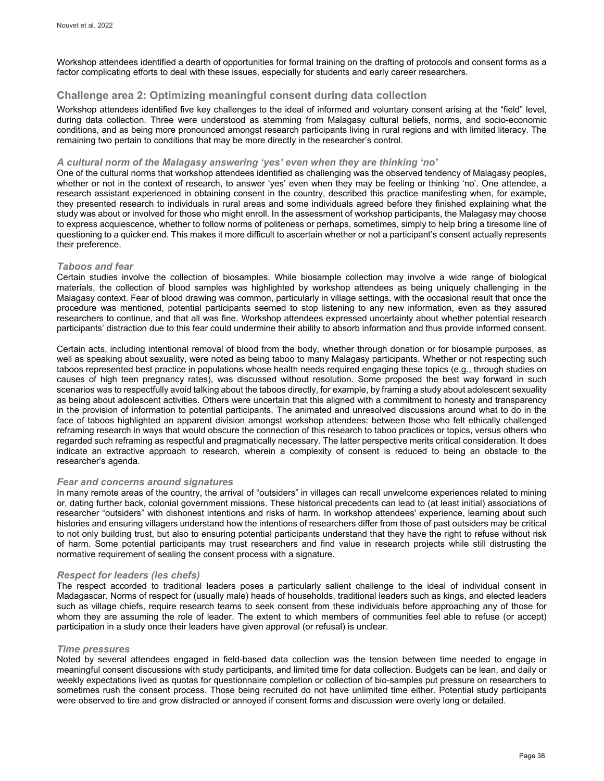Workshop attendees identified a dearth of opportunities for formal training on the drafting of protocols and consent forms as a factor complicating efforts to deal with these issues, especially for students and early career researchers.

## **Challenge area 2: Optimizing meaningful consent during data collection**

Workshop attendees identified five key challenges to the ideal of informed and voluntary consent arising at the "field" level, during data collection. Three were understood as stemming from Malagasy cultural beliefs, norms, and socio-economic conditions, and as being more pronounced amongst research participants living in rural regions and with limited literacy. The remaining two pertain to conditions that may be more directly in the researcher's control.

#### *A cultural norm of the Malagasy answering 'yes' even when they are thinking 'no'*

One of the cultural norms that workshop attendees identified as challenging was the observed tendency of Malagasy peoples, whether or not in the context of research, to answer 'yes' even when they may be feeling or thinking 'no'. One attendee, a research assistant experienced in obtaining consent in the country, described this practice manifesting when, for example, they presented research to individuals in rural areas and some individuals agreed before they finished explaining what the study was about or involved for those who might enroll. In the assessment of workshop participants, the Malagasy may choose to express acquiescence, whether to follow norms of politeness or perhaps, sometimes, simply to help bring a tiresome line of questioning to a quicker end. This makes it more difficult to ascertain whether or not a participant's consent actually represents their preference.

#### *Taboos and fear*

Certain studies involve the collection of biosamples. While biosample collection may involve a wide range of biological materials, the collection of blood samples was highlighted by workshop attendees as being uniquely challenging in the Malagasy context. Fear of blood drawing was common, particularly in village settings, with the occasional result that once the procedure was mentioned, potential participants seemed to stop listening to any new information, even as they assured researchers to continue, and that all was fine. Workshop attendees expressed uncertainty about whether potential research participants' distraction due to this fear could undermine their ability to absorb information and thus provide informed consent.

Certain acts, including intentional removal of blood from the body, whether through donation or for biosample purposes, as well as speaking about sexuality, were noted as being taboo to many Malagasy participants. Whether or not respecting such taboos represented best practice in populations whose health needs required engaging these topics (e.g., through studies on causes of high teen pregnancy rates), was discussed without resolution. Some proposed the best way forward in such scenarios was to respectfully avoid talking about the taboos directly, for example, by framing a study about adolescent sexuality as being about adolescent activities. Others were uncertain that this aligned with a commitment to honesty and transparency in the provision of information to potential participants. The animated and unresolved discussions around what to do in the face of taboos highlighted an apparent division amongst workshop attendees: between those who felt ethically challenged reframing research in ways that would obscure the connection of this research to taboo practices or topics, versus others who regarded such reframing as respectful and pragmatically necessary. The latter perspective merits critical consideration. It does indicate an extractive approach to research, wherein a complexity of consent is reduced to being an obstacle to the researcher's agenda.

#### *Fear and concerns around signatures*

In many remote areas of the country, the arrival of "outsiders" in villages can recall unwelcome experiences related to mining or, dating further back, colonial government missions. These historical precedents can lead to (at least initial) associations of researcher "outsiders" with dishonest intentions and risks of harm. In workshop attendees' experience, learning about such histories and ensuring villagers understand how the intentions of researchers differ from those of past outsiders may be critical to not only building trust, but also to ensuring potential participants understand that they have the right to refuse without risk of harm. Some potential participants may trust researchers and find value in research projects while still distrusting the normative requirement of sealing the consent process with a signature.

### *Respect for leaders (les chefs)*

The respect accorded to traditional leaders poses a particularly salient challenge to the ideal of individual consent in Madagascar. Norms of respect for (usually male) heads of households, traditional leaders such as kings, and elected leaders such as village chiefs, require research teams to seek consent from these individuals before approaching any of those for whom they are assuming the role of leader. The extent to which members of communities feel able to refuse (or accept) participation in a study once their leaders have given approval (or refusal) is unclear.

## *Time pressures*

Noted by several attendees engaged in field-based data collection was the tension between time needed to engage in meaningful consent discussions with study participants, and limited time for data collection. Budgets can be lean, and daily or weekly expectations lived as quotas for questionnaire completion or collection of bio-samples put pressure on researchers to sometimes rush the consent process. Those being recruited do not have unlimited time either. Potential study participants were observed to tire and grow distracted or annoyed if consent forms and discussion were overly long or detailed.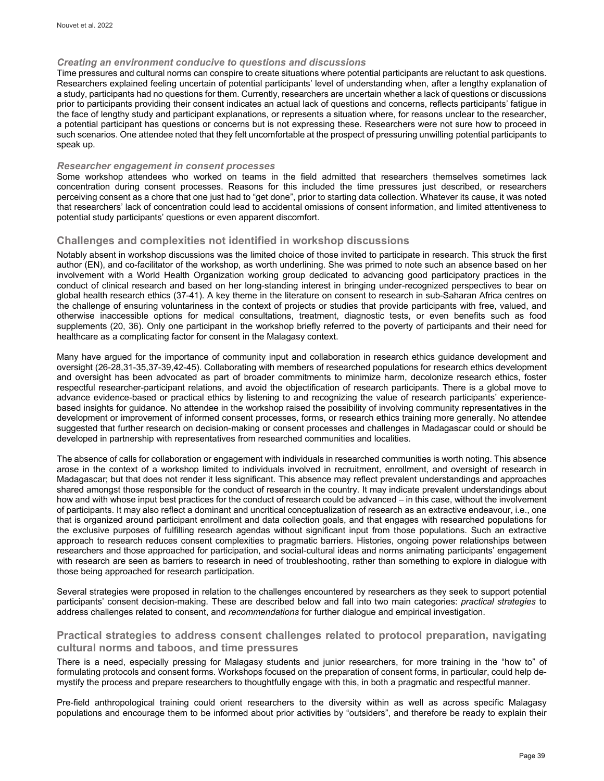#### *Creating an environment conducive to questions and discussions*

Time pressures and cultural norms can conspire to create situations where potential participants are reluctant to ask questions. Researchers explained feeling uncertain of potential participants' level of understanding when, after a lengthy explanation of a study, participants had no questions for them. Currently, researchers are uncertain whether a lack of questions or discussions prior to participants providing their consent indicates an actual lack of questions and concerns, reflects participants' fatigue in the face of lengthy study and participant explanations, or represents a situation where, for reasons unclear to the researcher, a potential participant has questions or concerns but is not expressing these. Researchers were not sure how to proceed in such scenarios. One attendee noted that they felt uncomfortable at the prospect of pressuring unwilling potential participants to speak up.

#### *Researcher engagement in consent processes*

Some workshop attendees who worked on teams in the field admitted that researchers themselves sometimes lack concentration during consent processes. Reasons for this included the time pressures just described, or researchers perceiving consent as a chore that one just had to "get done", prior to starting data collection. Whatever its cause, it was noted that researchers' lack of concentration could lead to accidental omissions of consent information, and limited attentiveness to potential study participants' questions or even apparent discomfort.

#### **Challenges and complexities not identified in workshop discussions**

Notably absent in workshop discussions was the limited choice of those invited to participate in research. This struck the first author (EN), and co-facilitator of the workshop, as worth underlining. She was primed to note such an absence based on her involvement with a World Health Organization working group dedicated to advancing good participatory practices in the conduct of clinical research and based on her long-standing interest in bringing under-recognized perspectives to bear on global health research ethics (37-41). A key theme in the literature on consent to research in sub-Saharan Africa centres on the challenge of ensuring voluntariness in the context of projects or studies that provide participants with free, valued, and otherwise inaccessible options for medical consultations, treatment, diagnostic tests, or even benefits such as food supplements (20, 36). Only one participant in the workshop briefly referred to the poverty of participants and their need for healthcare as a complicating factor for consent in the Malagasy context.

Many have argued for the importance of community input and collaboration in research ethics guidance development and oversight (26-28,31-35,37-39,42-45). Collaborating with members of researched populations for research ethics development and oversight has been advocated as part of broader commitments to minimize harm, decolonize research ethics, foster respectful researcher-participant relations, and avoid the objectification of research participants. There is a global move to advance evidence-based or practical ethics by listening to and recognizing the value of research participants' experiencebased insights for guidance. No attendee in the workshop raised the possibility of involving community representatives in the development or improvement of informed consent processes, forms, or research ethics training more generally. No attendee suggested that further research on decision-making or consent processes and challenges in Madagascar could or should be developed in partnership with representatives from researched communities and localities.

The absence of calls for collaboration or engagement with individuals in researched communities is worth noting. This absence arose in the context of a workshop limited to individuals involved in recruitment, enrollment, and oversight of research in Madagascar; but that does not render it less significant. This absence may reflect prevalent understandings and approaches shared amongst those responsible for the conduct of research in the country. It may indicate prevalent understandings about how and with whose input best practices for the conduct of research could be advanced – in this case, without the involvement of participants. It may also reflect a dominant and uncritical conceptualization of research as an extractive endeavour, i.e., one that is organized around participant enrollment and data collection goals, and that engages with researched populations for the exclusive purposes of fulfilling research agendas without significant input from those populations. Such an extractive approach to research reduces consent complexities to pragmatic barriers. Histories, ongoing power relationships between researchers and those approached for participation, and social-cultural ideas and norms animating participants' engagement with research are seen as barriers to research in need of troubleshooting, rather than something to explore in dialogue with those being approached for research participation.

Several strategies were proposed in relation to the challenges encountered by researchers as they seek to support potential participants' consent decision-making. These are described below and fall into two main categories: *practical strategies* to address challenges related to consent, and *recommendations* for further dialogue and empirical investigation.

#### **Practical strategies to address consent challenges related to protocol preparation, navigating cultural norms and taboos, and time pressures**

There is a need, especially pressing for Malagasy students and junior researchers, for more training in the "how to" of formulating protocols and consent forms. Workshops focused on the preparation of consent forms, in particular, could help demystify the process and prepare researchers to thoughtfully engage with this, in both a pragmatic and respectful manner.

Pre-field anthropological training could orient researchers to the diversity within as well as across specific Malagasy populations and encourage them to be informed about prior activities by "outsiders", and therefore be ready to explain their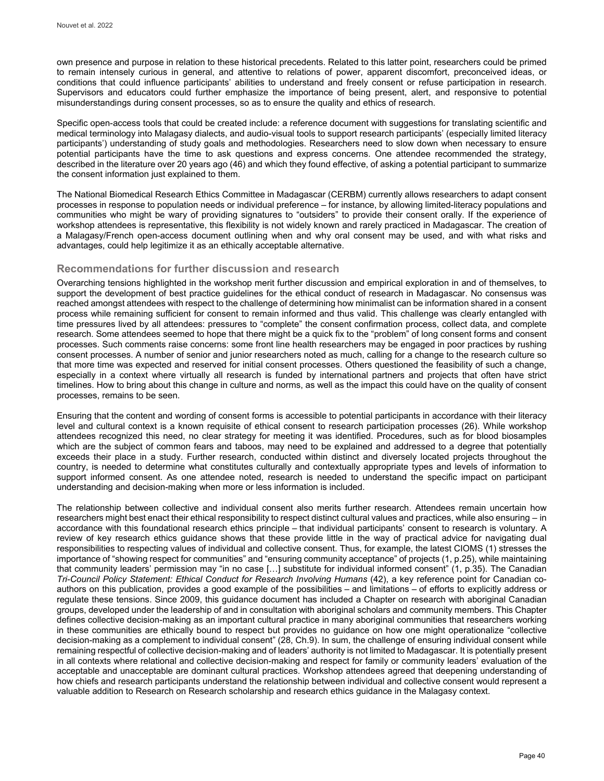own presence and purpose in relation to these historical precedents. Related to this latter point, researchers could be primed to remain intensely curious in general, and attentive to relations of power, apparent discomfort, preconceived ideas, or conditions that could influence participants' abilities to understand and freely consent or refuse participation in research. Supervisors and educators could further emphasize the importance of being present, alert, and responsive to potential misunderstandings during consent processes, so as to ensure the quality and ethics of research.

Specific open-access tools that could be created include: a reference document with suggestions for translating scientific and medical terminology into Malagasy dialects, and audio-visual tools to support research participants' (especially limited literacy participants') understanding of study goals and methodologies. Researchers need to slow down when necessary to ensure potential participants have the time to ask questions and express concerns. One attendee recommended the strategy, described in the literature over 20 years ago (46) and which they found effective, of asking a potential participant to summarize the consent information just explained to them.

The National Biomedical Research Ethics Committee in Madagascar (CERBM) currently allows researchers to adapt consent processes in response to population needs or individual preference – for instance, by allowing limited-literacy populations and communities who might be wary of providing signatures to "outsiders" to provide their consent orally. If the experience of workshop attendees is representative, this flexibility is not widely known and rarely practiced in Madagascar. The creation of a Malagasy/French open-access document outlining when and why oral consent may be used, and with what risks and advantages, could help legitimize it as an ethically acceptable alternative.

### **Recommendations for further discussion and research**

Overarching tensions highlighted in the workshop merit further discussion and empirical exploration in and of themselves, to support the development of best practice guidelines for the ethical conduct of research in Madagascar. No consensus was reached amongst attendees with respect to the challenge of determining how minimalist can be information shared in a consent process while remaining sufficient for consent to remain informed and thus valid. This challenge was clearly entangled with time pressures lived by all attendees: pressures to "complete" the consent confirmation process, collect data, and complete research. Some attendees seemed to hope that there might be a quick fix to the "problem" of long consent forms and consent processes. Such comments raise concerns: some front line health researchers may be engaged in poor practices by rushing consent processes. A number of senior and junior researchers noted as much, calling for a change to the research culture so that more time was expected and reserved for initial consent processes. Others questioned the feasibility of such a change, especially in a context where virtually all research is funded by international partners and projects that often have strict timelines. How to bring about this change in culture and norms, as well as the impact this could have on the quality of consent processes, remains to be seen.

Ensuring that the content and wording of consent forms is accessible to potential participants in accordance with their literacy level and cultural context is a known requisite of ethical consent to research participation processes (26). While workshop attendees recognized this need, no clear strategy for meeting it was identified. Procedures, such as for blood biosamples which are the subject of common fears and taboos, may need to be explained and addressed to a degree that potentially exceeds their place in a study. Further research, conducted within distinct and diversely located projects throughout the country, is needed to determine what constitutes culturally and contextually appropriate types and levels of information to support informed consent. As one attendee noted, research is needed to understand the specific impact on participant understanding and decision-making when more or less information is included.

The relationship between collective and individual consent also merits further research. Attendees remain uncertain how researchers might best enact their ethical responsibility to respect distinct cultural values and practices, while also ensuring – in accordance with this foundational research ethics principle – that individual participants' consent to research is voluntary. A review of key research ethics guidance shows that these provide little in the way of practical advice for navigating dual responsibilities to respecting values of individual and collective consent. Thus, for example, the latest CIOMS (1) stresses the importance of "showing respect for communities" and "ensuring community acceptance" of projects (1, p.25), while maintaining that community leaders' permission may "in no case […] substitute for individual informed consent" (1, p.35). The Canadian *Tri-Council Policy Statement: Ethical Conduct for Research Involving Humans* (42), a key reference point for Canadian coauthors on this publication, provides a good example of the possibilities – and limitations – of efforts to explicitly address or regulate these tensions. Since 2009, this guidance document has included a Chapter on research with aboriginal Canadian groups, developed under the leadership of and in consultation with aboriginal scholars and community members. This Chapter defines collective decision-making as an important cultural practice in many aboriginal communities that researchers working in these communities are ethically bound to respect but provides no guidance on how one might operationalize "collective decision-making as a complement to individual consent" (28, Ch.9). In sum, the challenge of ensuring individual consent while remaining respectful of collective decision-making and of leaders' authority is not limited to Madagascar. It is potentially present in all contexts where relational and collective decision-making and respect for family or community leaders' evaluation of the acceptable and unacceptable are dominant cultural practices. Workshop attendees agreed that deepening understanding of how chiefs and research participants understand the relationship between individual and collective consent would represent a valuable addition to Research on Research scholarship and research ethics guidance in the Malagasy context.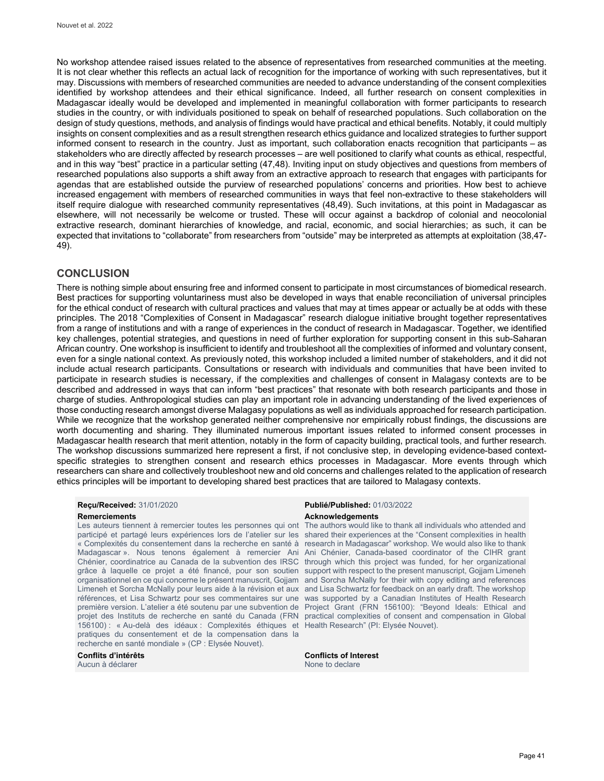No workshop attendee raised issues related to the absence of representatives from researched communities at the meeting. It is not clear whether this reflects an actual lack of recognition for the importance of working with such representatives, but it may. Discussions with members of researched communities are needed to advance understanding of the consent complexities identified by workshop attendees and their ethical significance. Indeed, all further research on consent complexities in Madagascar ideally would be developed and implemented in meaningful collaboration with former participants to research studies in the country, or with individuals positioned to speak on behalf of researched populations. Such collaboration on the design of study questions, methods, and analysis of findings would have practical and ethical benefits. Notably, it could multiply insights on consent complexities and as a result strengthen research ethics guidance and localized strategies to further support informed consent to research in the country. Just as important, such collaboration enacts recognition that participants – as stakeholders who are directly affected by research processes – are well positioned to clarify what counts as ethical, respectful, and in this way "best" practice in a particular setting (47,48). Inviting input on study objectives and questions from members of researched populations also supports a shift away from an extractive approach to research that engages with participants for agendas that are established outside the purview of researched populations' concerns and priorities. How best to achieve increased engagement with members of researched communities in ways that feel non-extractive to these stakeholders will itself require dialogue with researched community representatives (48,49). Such invitations, at this point in Madagascar as elsewhere, will not necessarily be welcome or trusted. These will occur against a backdrop of colonial and neocolonial extractive research, dominant hierarchies of knowledge, and racial, economic, and social hierarchies; as such, it can be expected that invitations to "collaborate" from researchers from "outside" may be interpreted as attempts at exploitation (38,47- 49).

#### **CONCLUSION**

There is nothing simple about ensuring free and informed consent to participate in most circumstances of biomedical research. Best practices for supporting voluntariness must also be developed in ways that enable reconciliation of universal principles for the ethical conduct of research with cultural practices and values that may at times appear or actually be at odds with these principles. The 2018 "Complexities of Consent in Madagascar" research dialogue initiative brought together representatives from a range of institutions and with a range of experiences in the conduct of research in Madagascar. Together, we identified key challenges, potential strategies, and questions in need of further exploration for supporting consent in this sub-Saharan African country. One workshop is insufficient to identify and troubleshoot all the complexities of informed and voluntary consent, even for a single national context. As previously noted, this workshop included a limited number of stakeholders, and it did not include actual research participants. Consultations or research with individuals and communities that have been invited to participate in research studies is necessary, if the complexities and challenges of consent in Malagasy contexts are to be described and addressed in ways that can inform "best practices" that resonate with both research participants and those in charge of studies. Anthropological studies can play an important role in advancing understanding of the lived experiences of those conducting research amongst diverse Malagasy populations as well as individuals approached for research participation. While we recognize that the workshop generated neither comprehensive nor empirically robust findings, the discussions are worth documenting and sharing. They illuminated numerous important issues related to informed consent processes in Madagascar health research that merit attention, notably in the form of capacity building, practical tools, and further research. The workshop discussions summarized here represent a first, if not conclusive step, in developing evidence-based contextspecific strategies to strengthen consent and research ethics processes in Madagascar. More events through which researchers can share and collectively troubleshoot new and old concerns and challenges related to the application of research ethics principles will be important to developing shared best practices that are tailored to Malagasy contexts.

Les auteurs tiennent à remercier toutes les personnes qui ont participé et partagé leurs expériences lors de l'atelier sur les « Complexités du consentement dans la recherche en santé à Madagascar ». Nous tenons également à remercier Ani grâce à laquelle ce projet a été financé, pour son soutien support with respect to the present manuscript, Gojjam Limeneh organisationnel en ce qui concerne le présent manuscrit, Gojjam Limeneh et Sorcha McNally pour leurs aide à la révision et aux références, et Lisa Schwartz pour ses commentaires sur une projet des Instituts de recherche en santé du Canada (FRN 156100) : « Au-delà des idéaux : Complexités éthiques et Health Research" (PI: Elysée Nouvet). pratiques du consentement et de la compensation dans la recherche en santé mondiale » (CP : Elysée Nouvet).

Aucun à déclarer

# **Reçu/Received:** 31/01/2020 **Publié/Published:** 01/03/2022

**Remerciements Acknowledgements**

Chénier, coordinatrice au Canada de la subvention des IRSC through which this project was funded, for her organizational première version. L'atelier a été soutenu par une subvention de Project Grant (FRN 156100): "Beyond Ideals: Ethical and The authors would like to thank all individuals who attended and shared their experiences at the "Consent complexities in health research in Madagascar" workshop. We would also like to thank Ani Chénier, Canada-based coordinator of the CIHR grant and Sorcha McNally for their with copy editing and references and Lisa Schwartz for feedback on an early draft. The workshop was supported by a Canadian Institutes of Health Research practical complexities of consent and compensation in Global

**Conflits d'intérêts Conflicts of Interest**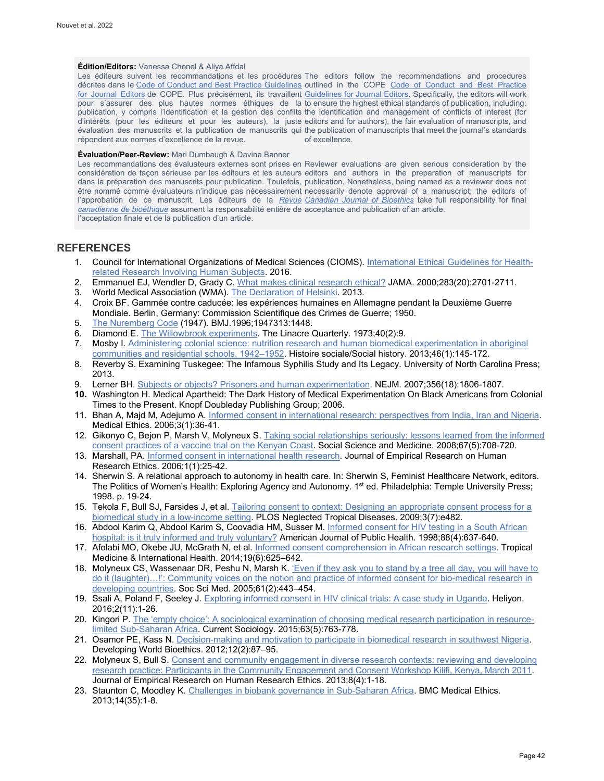#### **Édition/Editors:** Vanessa Chenel & Aliya Affdal

Les éditeurs suivent les recommandations et les procédures The editors follow the recommendations and procedures décrites dans le [Code of Conduct and Best Practice Guidelines](http://publicationethics.org/resources/code-conduct) outlined in the COPE Code of Conduct and Best Practice <u>[for Journal Editors](http://publicationethics.org/resources/code-conduct)</u> de COPE. Plus précisément, ils travaillent <u>Guidelines for Journal Editors</u>. Specifically, the editors will work pour s'assurer des plus hautes normes éthiques de la to ensure the highest ethical standards of publication, including: publication, y compris l'identification et la gestion des conflits the identification and management of conflicts of interest (for d'intérêts (pour les éditeurs et pour les auteurs), la juste editors and for authors), the fair evaluation of manuscripts, and évaluation des manuscrits et la publication de manuscrits qui the publication of manuscripts that meet the journal's standards répondent aux normes d'excellence de la revue. of excellence.

#### **Évaluation/Peer-Review:** Mari Dumbaugh & Davina Banner

Les recommandations des évaluateurs externes sont prises en Reviewer evaluations are given serious consideration by the considération de façon sérieuse par les éditeurs et les auteurs editors and authors in the preparation of manuscripts for dans la préparation des manuscrits pour publication. Toutefois, publication. Nonetheless, being named as a reviewer does not être nommé comme évaluateurs n'indique pas nécessairement necessarily denote approval of a manuscript; the editors of l'approbation de ce manuscrit. Les éditeurs de la <u>*Revue* C*anadian Journal of Bioethics</u> take full responsibility for final*</u> *[canadienne de bioéthique](http://cjb-rcb.ca/)* assument la responsabilité entière de acceptance and publication of an article. l'acceptation finale et de la publication d'un article.

### **REFERENCES**

- 1. Council for International Organizations of Medical Sciences (CIOMS). [International Ethical Guidelines for Health](https://cioms.ch/shop/product/international-ethical-guidelines-for-health-related-research-involving-humans/)[related Research Involving Human Subjects.](https://cioms.ch/shop/product/international-ethical-guidelines-for-health-related-research-involving-humans/) 2016.
- 2. Emmanuel EJ, Wendler D, Grady C[. What makes clinical research ethical?](https://jamanetwork.com/journals/jama/article-abstract/192740) JAMA. 2000;283(20):2701-2711.
- 3. World Medical Association (WMA)[. The Declaration of Helsinki.](https://www.wma.net/policies-post/wma-declaration-of-helsinki-ethical-principles-for-medical-research-involving-human-subjects/) 2013.
- 4. Croix BF. Gammée contre caducée: les expériences humaines en Allemagne pendant la Deuxième Guerre Mondiale. Berlin, Germany: Commission Scientifique des Crimes de Guerre; 1950.
- 5. [The Nuremberg Code](https://www.bmj.com/content/313/7070/1448.1) (1947). BMJ.1996;1947313:1448.<br>6. Diamond E. The Willowbrook experiments. The Linacre (
- Diamond E. [The Willowbrook experiments.](https://epublications.marquette.edu/cgi/viewcontent.cgi?article=3222&context=lnq) The Linacre Quarterly. 1973;40(2):9.
- 7. Mosby I. [Administering colonial science: nutrition research and human biomedical experimentation in aboriginal](https://muse.jhu.edu/article/512043)  [communities and residential schools, 1942–1952.](https://muse.jhu.edu/article/512043) Histoire sociale/Social history. 2013;46(1):145-172.
- 8. Reverby S. Examining Tuskegee: The Infamous Syphilis Study and Its Legacy. University of North Carolina Press; 2013.
- 9. Lerner BH[. Subjects or objects? Prisoners and human experimentation.](https://doi.org/10.1056/NEJMp068280) NEJM. 2007;356(18):1806-1807.
- **10.** Washington H. Medical Apartheid: The Dark History of Medical Experimentation On Black Americans from Colonial Times to the Present. Knopf Doubleday Publishing Group; 2006.
- 11. Bhan A, Majd M, Adejumo A[. Informed consent in international research: perspectives from India, Iran and Nigeria.](https://mdprogram.mcmaster.ca/docs/default-source/MUMJ-Library/v3_36-41-informed-consent-medical-ethics.pdf?sfvrsn=0) Medical Ethics. 2006;3(1):36-41.
- 12. Gikonyo C, Bejon P, Marsh V, Molyneux S[. Taking social relationships seriously: lessons learned from the informed](https://www.sciencedirect.com/science/article/pii/S0277953608000890?via%3Dihub)  [consent practices of a vaccine trial on the Kenyan Coast.](https://www.sciencedirect.com/science/article/pii/S0277953608000890?via%3Dihub) Social Science and Medicine. 2008;67(5):708-720.
- 13. Marshall, PA[. Informed consent in international health research.](http://cjb-rcb.ca/1.%09https:/journals.sagepub.com/doi/abs/10.1525/jer.2006.1.1.25) Journal of Empirical Research on Human Research Ethics. 2006;1(1):25-42.
- 14. Sherwin S. A relational approach to autonomy in health care. In: Sherwin S, Feminist Healthcare Network, editors. The Politics of Women's Health: Exploring Agency and Autonomy. 1<sup>st</sup> ed. Philadelphia: Temple University Press; 1998. p. 19-24.
- 15. Tekola F, Bull SJ, Farsides J, et al. [Tailoring consent to context: Designing an appropriate consent process for a](https://journals.plos.org/plosntds/article?id=10.1371/journal.pntd.0000482)  [biomedical study in a low-income setting.](https://journals.plos.org/plosntds/article?id=10.1371/journal.pntd.0000482) PLOS Neglected Tropical Diseases. 2009;3(7):e482.
- 16. Abdool Karim Q, Abdool Karim S, Coovadia HM, Susser M. [Informed consent for HIV testing in a South African](https://ajph.aphapublications.org/doi/10.2105/AJPH.88.4.637)  [hospital: is it truly informed and truly voluntary?](https://ajph.aphapublications.org/doi/10.2105/AJPH.88.4.637) American Journal of Public Health. 1998;88(4):637-640.
- 17. Afolabi MO, Okebe JU, McGrath N, et al[. Informed consent comprehension in African research settings.](https://onlinelibrary.wiley.com/doi/full/10.1111/tmi.12288) Tropical Medicine & International Health. 2014;19(6):625–642.
- 18. Molyneux CS, Wassenaar DR, Peshu N, Marsh K. 'Even if they ask you to stand by a tree all day, you will have to [do it \(laughter\)…!': Community voices on the notion and practice of informed consent for bio-medical research in](https://www.sciencedirect.com/science/article/abs/pii/S0277953604006513?via%3Dihub)  [developing countries.](https://www.sciencedirect.com/science/article/abs/pii/S0277953604006513?via%3Dihub) Soc Sci Med. 2005;61(2):443–454[.](https://www.sciencedirect.com/science/article/abs/pii/S0277953604006513?via%3Dihub)
- 19. Ssali A, Poland F, Seeley J. [Exploring informed consent in HIV clinical trials: A case study in Uganda.](https://pubmed.ncbi.nlm.nih.gov/27872904/) Heliyon. 2016;2(11):1-26.
- 20. Kingori P. [The 'empty choice': A sociological examination of choosing medical research participation in resource](https://journals.sagepub.com/doi/full/10.1177/0011392115590093)[limited Sub-Saharan Africa.](https://journals.sagepub.com/doi/full/10.1177/0011392115590093) Current Sociology. 2015;63(5):763-778.
- 21. Osamor PE, Kass N. [Decision-making and motivation to participate in biomedical research in southwest Nigeria.](http://cjb-rcb.ca/1.%09https:/onlinelibrary.wiley.com/doi/abs/10.1111/j.1471-8847.2012.00326.x) Developing World Bioethics. 2012;12(2):87–95.
- 22. Molyneux S, Bull S. Consent and community engagement in diverse research contexts: reviewing and developing [research practice: Participants in the Community Engagement and Consent Workshop Kilifi, Kenya, March 2011.](https://journals.sagepub.com/doi/abs/10.1525/jer.2013.8.4.1)  Journal of Empirical Research on Human Research Ethics. 2013;8(4):1-18.
- 23. Staunton C, Moodley K. [Challenges in biobank governance in Sub-Saharan Africa.](https://bmcmedethics.biomedcentral.com/articles/10.1186/1472-6939-14-35) BMC Medical Ethics. 2013;14(35):1-8.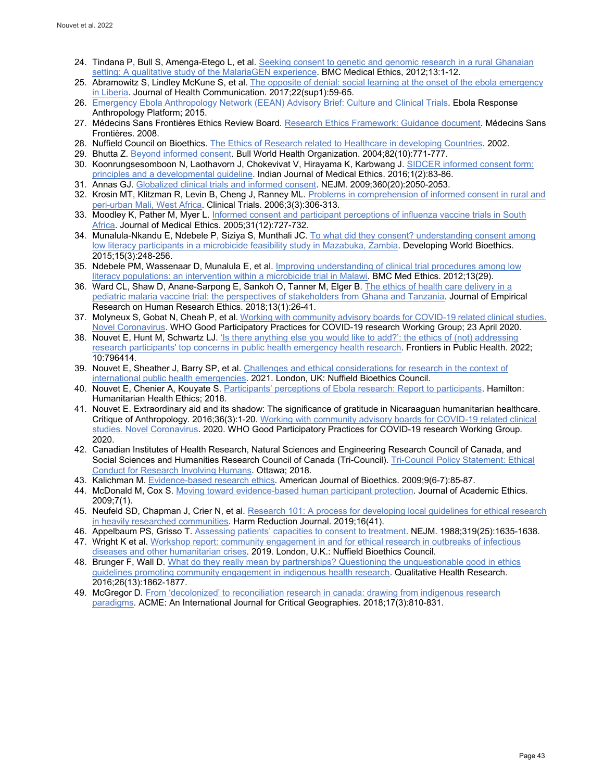- 24. Tindana P, Bull S, Amenga-Etego L, et al[. Seeking consent to genetic and genomic research in a rural Ghanaian](https://bmcmedethics.biomedcentral.com/articles/10.1186/1472-6939-13-15)  [setting: A qualitative study of the MalariaGEN experience.](https://bmcmedethics.biomedcentral.com/articles/10.1186/1472-6939-13-15) BMC Medical Ethics, 2012;13:1-12.
- 25. Abramowitz S, Lindley McKune S, et al[. The opposite of denial: social learning at the onset of the ebola emergency](https://www.tandfonline.com/doi/full/10.1080/10810730.2016.1209599)  [in Liberia.](https://www.tandfonline.com/doi/full/10.1080/10810730.2016.1209599) Journal of Health Communication. 2017;22(sup1):59-65.
- 26. [Emergency Ebola Anthropology Network \(EEAN\) Advisory Brief: Culture and Clinical Trials.](http://www.ebola-anthropology.net/key_messages/emergency-ebola-anthropology-network-advisory-brief-culture-and-clinical-trials/) Ebola Response Anthropology Platform; 2015.
- 27. Médecins Sans Frontières Ethics Review Board[. Research Ethics Framework: Guidance document.](https://fieldresearch.msf.org/handle/10144/305288) Médecins Sans Frontières. 2008.
- 28. Nuffield Council on Bioethics. [The Ethics of Research related to Healthcare in developing Countries.](https://www.nuffieldbioethics.org/assets/pdfs/Ethics-of-research-related-to-healthcare-in-developing-countries.pdf) 2002.
- 29. Bhutta Z[. Beyond informed consent.](http://cjb-rcb.ca/1.%09https:/www.ncbi.nlm.nih.gov/pmc/articles/PMC2623030) Bull World Health Organization. 2004;82(10):771-777.
- 30. Koonrungsesomboon N, Laothavorn J, Chokevivat V, Hirayama K, Karbwang J[. SIDCER informed consent form:](http://ijme.in/articles/sidcer-informed-consent-form-principles-and-a-developmental-guideline/?galley=html)  [principles and a developmental guideline.](http://ijme.in/articles/sidcer-informed-consent-form-principles-and-a-developmental-guideline/?galley=html) Indian Journal of Medical Ethics. 2016;1(2):83-86.
- 31. Annas GJ. [Globalized clinical trials and informed consent.](https://pubmed.ncbi.nlm.nih.gov/19439740/) NEJM. 2009;360(20):2050-2053.
- 32. Krosin MT, Klitzman R, Levin B, Cheng J, Ranney ML[. Problems in comprehension of informed consent in rural and](https://pubmed.ncbi.nlm.nih.gov/16895047/)  [peri-urban Mali, West Africa.](https://pubmed.ncbi.nlm.nih.gov/16895047/) Clinical Trials. 2006;3(3):306-313.
- 33. Moodley K, Pather M, Myer L. Informed consent and participant perceptions of influenza vaccine trials in South [Africa.](https://www.ncbi.nlm.nih.gov/pmc/articles/PMC1734072/) Journal of Medical Ethics. 2005;31(12):727-732.
- 34. Munalula-Nkandu E, Ndebele P, Siziya S, Munthali JC. To what did they consent? understanding consent among [low literacy participants in a microbicide feasibility study](https://onlinelibrary.wiley.com/doi/abs/10.1111/dewb.12069) in Mazabuka, Zambia. Developing World Bioethics. 2015;15(3):248-256.
- 35. Ndebele PM, Wassenaar D, Munalula E, et al. *Improving understanding of clinical trial procedures among low* [literacy populations: an intervention within a microbicide trial in Malawi.](https://doi.org/10.1186/1472-6939-13-29) BMC Med Ethics. 2012;13(29).
- 36. Ward CL, Shaw D, Anane-Sarpong E, Sankoh O, Tanner M, Elger B. [The ethics of health care delivery in a](https://journals.sagepub.com/doi/10.1177/1556264617742236)  [pediatric malaria vaccine trial: the perspectives of stakeholders from](https://journals.sagepub.com/doi/10.1177/1556264617742236) Ghana and Tanzania. Journal of Empirical Research on Human Research Ethics. 2018;13(1):26-41.
- 37. Molyneux S, Gobat N, Cheah P, et al[. Working with community advisory boards for COVID-19 related clinical studies.](https://www.who.int/publications/m/item/working-with-community-advisory-boards-for-covid-19-related-clinical-studies)  [Novel Coronavirus.](https://www.who.int/publications/m/item/working-with-community-advisory-boards-for-covid-19-related-clinical-studies) WHO Good Participatory Practices for COVID-19 research Working Group; 23 April 2020.
- 38. Nouvet E, Hunt M, Schwartz LJ[. 'Is there anything else you would like to add?': the ethics of \(not\) addressing](https://www.frontiersin.org/articles/10.3389/fpubh.2022.796414/full)  [research participants' top concerns in public health emergency health research.](https://www.frontiersin.org/articles/10.3389/fpubh.2022.796414/full) Frontiers in Public Health. 2022; 10:796414.
- 39. Nouvet E, Sheather J, Barry SP, et al. Challenges and ethical considerations for research in the context of [international public health emergencies.](https://www.nuffieldbioethics.org/assets/pdfs/Guinea-Nuffield-WHO-consultation-report-FINAL.pdf) 2021. London, UK: Nuffield Bioethics Council.
- 40. Nouvet E, Chenier A, Kouyate S. [Participants' perceptions of Ebola research: Report to participants.](https://humethnet.files.wordpress.com/2019/09/hherg_perceptions_ebola_research_participants_report_final.pdf) Hamilton: Humanitarian Health Ethics; 2018.
- 41. Nouvet E. Extraordinary aid and its shadow: The significance of gratitude in Nicaraaguan humanitarian healthcare. Critique of Anthropology. 2016;36(3):1-20. [Working with community advisory boards for COVID-19 related clinical](https://www.who.int/publications/m/item/working-with-community-advisory-boards-for-covid-19-related-clinical-studies)  [studies. Novel Coronavirus.](https://www.who.int/publications/m/item/working-with-community-advisory-boards-for-covid-19-related-clinical-studies) 2020. WHO Good Participatory Practices for COVID-19 research Working Group. 2020.
- 42. Canadian Institutes of Health Research, Natural Sciences and Engineering Research Council of Canada, and Social Sciences and Humanities Research Council of Canada (Tri-Council)[. Tri-Council Policy Statement: Ethical](https://ethics.gc.ca/eng/policy-politique_tcps2-eptc2_2018.html)  [Conduct for Research Involving Humans.](https://ethics.gc.ca/eng/policy-politique_tcps2-eptc2_2018.html) Ottawa; 2018.
- 43. Kalichman M[. Evidence-based research ethics.](https://www.tandfonline.com/doi/abs/10.1080/15265160902923457) American Journal of Bioethics. 2009;9(6-7):85-87.
- 44. McDonald M, Cox S. Moving toward [evidence-based human participant protection.](https://link.springer.com/article/10.1007/s10805-009-9082-3) Journal of Academic Ethics. 2009;7(1).
- 45. Neufeld SD, Chapman J, Crier N, et al. [Research 101: A process for developing local guidelines for ethical research](https://harmreductionjournal.biomedcentral.com/articles/10.1186/s12954-019-0315-5)  [in heavily researched communities.](https://harmreductionjournal.biomedcentral.com/articles/10.1186/s12954-019-0315-5) Harm Reduction Journal. 2019;16(41).
- 46. Appelbaum PS, Grisso T[. Assessing patients' capacities to consent to treatment.](https://www.nejm.org/doi/pdf/10.1056/NEJM198812223192504) NEJM. 1988;319(25):1635-1638.
- 47. Wright K et al. Workshop report: community engagement in and for ethical research in outbreaks of infectious [diseases and other humanitarian crises.](https://www.nuffieldbioethics.org/assets/pdfs/Research-in-global-health-emergencies-Dakar-Workshop.pdf) 2019. London, U.K.: Nuffield Bioethics Council.
- 48. Brunger F, Wall D. [What do they really mean by partnerships? Questioning the unquestionable good in ethics](https://journals.sagepub.com/doi/full/10.1177/1049732316649158)  [guidelines promoting community engagement in indigenous health research.](https://journals.sagepub.com/doi/full/10.1177/1049732316649158) Qualitative Health Research. 2016;26(13):1862-1877.
- 49. McGregor D. [From 'decolonized' to reconciliation research in](https://www.acme-journal.org/) canada: drawing from indigenous research [paradigms.](https://www.acme-journal.org/) ACME: An International Journal for Critical Geographies. 2018;17(3):810-831.